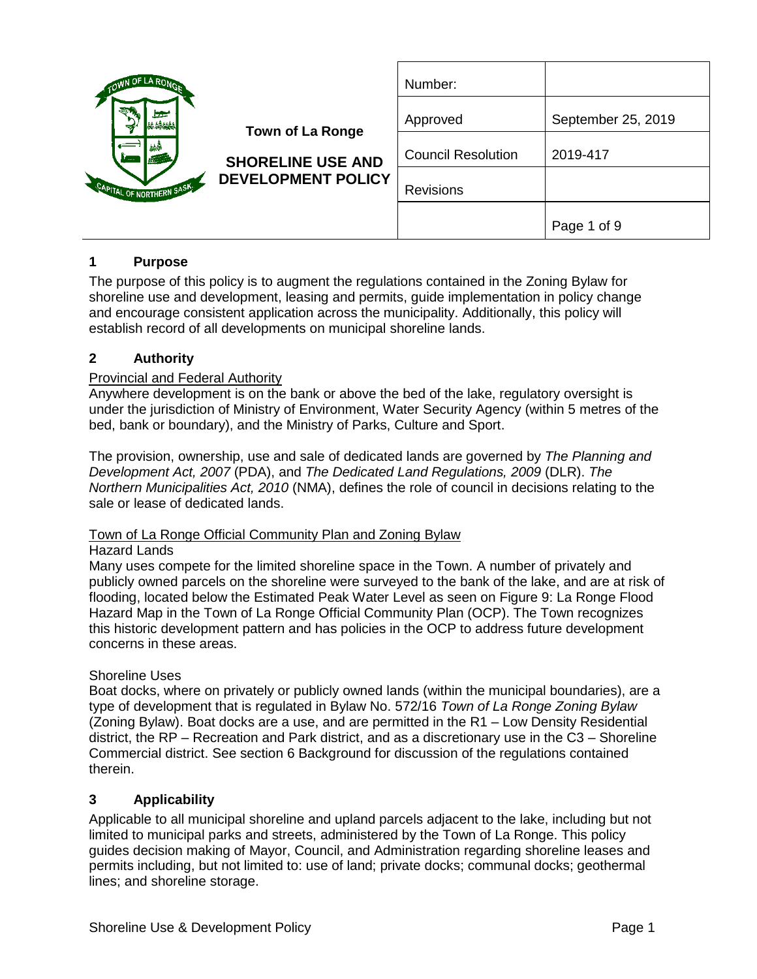| OWN OF LA ROMA                                                             |                                                                                  | Number:                   |                    |
|----------------------------------------------------------------------------|----------------------------------------------------------------------------------|---------------------------|--------------------|
| <b>Contract</b><br>赫桑<br><b>ALCO</b><br>F 222.<br>CAPITAL OF NORTHERN SASK | <b>Town of La Ronge</b><br><b>SHORELINE USE AND</b><br><b>DEVELOPMENT POLICY</b> | Approved                  | September 25, 2019 |
|                                                                            |                                                                                  | <b>Council Resolution</b> | 2019-417           |
|                                                                            |                                                                                  | Revisions                 |                    |
|                                                                            |                                                                                  |                           | Page 1 of 9        |

## **1 Purpose**

The purpose of this policy is to augment the regulations contained in the Zoning Bylaw for shoreline use and development, leasing and permits, guide implementation in policy change and encourage consistent application across the municipality. Additionally, this policy will establish record of all developments on municipal shoreline lands.

### **2 Authority**

### Provincial and Federal Authority

Anywhere development is on the bank or above the bed of the lake, regulatory oversight is under the jurisdiction of Ministry of Environment, Water Security Agency (within 5 metres of the bed, bank or boundary), and the Ministry of Parks, Culture and Sport.

The provision, ownership, use and sale of dedicated lands are governed by *The Planning and Development Act, 2007* (PDA), and *The Dedicated Land Regulations, 2009* (DLR). *The Northern Municipalities Act, 2010* (NMA), defines the role of council in decisions relating to the sale or lease of dedicated lands.

### Town of La Ronge Official Community Plan and Zoning Bylaw

### Hazard Lands

Many uses compete for the limited shoreline space in the Town. A number of privately and publicly owned parcels on the shoreline were surveyed to the bank of the lake, and are at risk of flooding, located below the Estimated Peak Water Level as seen on Figure 9: La Ronge Flood Hazard Map in the Town of La Ronge Official Community Plan (OCP). The Town recognizes this historic development pattern and has policies in the OCP to address future development concerns in these areas.

### Shoreline Uses

Boat docks, where on privately or publicly owned lands (within the municipal boundaries), are a type of development that is regulated in Bylaw No. 572/16 *Town of La Ronge Zoning Bylaw* (Zoning Bylaw). Boat docks are a use, and are permitted in the R1 – Low Density Residential district, the  $RP -$  Recreation and Park district, and as a discretionary use in the  $\text{C3} -$  Shoreline Commercial district. See section [6](#page-2-0) [Background](#page-2-0) for discussion of the regulations contained therein.

### **3 Applicability**

Applicable to all municipal shoreline and upland parcels adjacent to the lake, including but not limited to municipal parks and streets, administered by the Town of La Ronge. This policy guides decision making of Mayor, Council, and Administration regarding shoreline leases and permits including, but not limited to: use of land; private docks; communal docks; geothermal lines; and shoreline storage.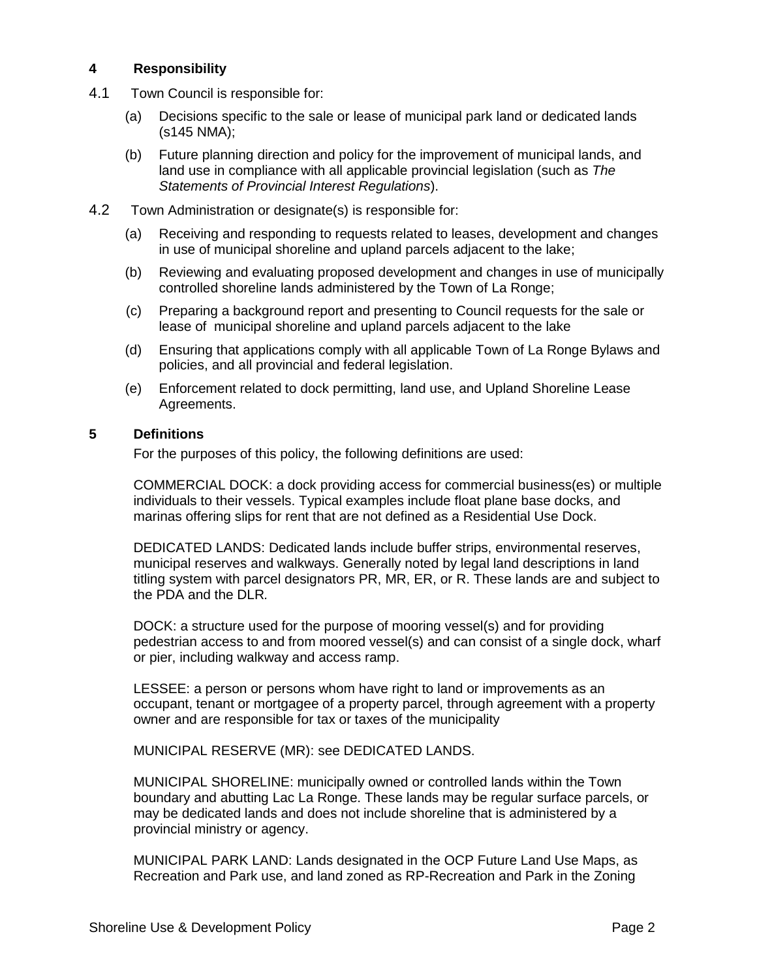### **4 Responsibility**

- 4.1 Town Council is responsible for:
	- (a) Decisions specific to the sale or lease of municipal park land or dedicated lands (s145 NMA);
	- (b) Future planning direction and policy for the improvement of municipal lands, and land use in compliance with all applicable provincial legislation (such as *The Statements of Provincial Interest Regulations*).
- 4.2 Town Administration or designate(s) is responsible for:
	- (a) Receiving and responding to requests related to leases, development and changes in use of municipal shoreline and upland parcels adjacent to the lake;
	- (b) Reviewing and evaluating proposed development and changes in use of municipally controlled shoreline lands administered by the Town of La Ronge;
	- (c) Preparing a background report and presenting to Council requests for the sale or lease of municipal shoreline and upland parcels adjacent to the lake
	- (d) Ensuring that applications comply with all applicable Town of La Ronge Bylaws and policies, and all provincial and federal legislation.
	- (e) Enforcement related to dock permitting, land use, and Upland Shoreline Lease Agreements.

#### **5 Definitions**

For the purposes of this policy, the following definitions are used:

COMMERCIAL DOCK: a dock providing access for commercial business(es) or multiple individuals to their vessels. Typical examples include float plane base docks, and marinas offering slips for rent that are not defined as a Residential Use Dock.

DEDICATED LANDS: Dedicated lands include buffer strips, environmental reserves, municipal reserves and walkways. Generally noted by legal land descriptions in land titling system with parcel designators PR, MR, ER, or R. These lands are and subject to the PDA and the DLR*.* 

DOCK: a structure used for the purpose of mooring vessel(s) and for providing pedestrian access to and from moored vessel(s) and can consist of a single dock, wharf or pier, including walkway and access ramp.

LESSEE: a person or persons whom have right to land or improvements as an occupant, tenant or mortgagee of a property parcel, through agreement with a property owner and are responsible for tax or taxes of the municipality

MUNICIPAL RESERVE (MR): see DEDICATED LANDS.

MUNICIPAL SHORELINE: municipally owned or controlled lands within the Town boundary and abutting Lac La Ronge. These lands may be regular surface parcels, or may be dedicated lands and does not include shoreline that is administered by a provincial ministry or agency.

MUNICIPAL PARK LAND: Lands designated in the OCP Future Land Use Maps, as Recreation and Park use, and land zoned as RP-Recreation and Park in the Zoning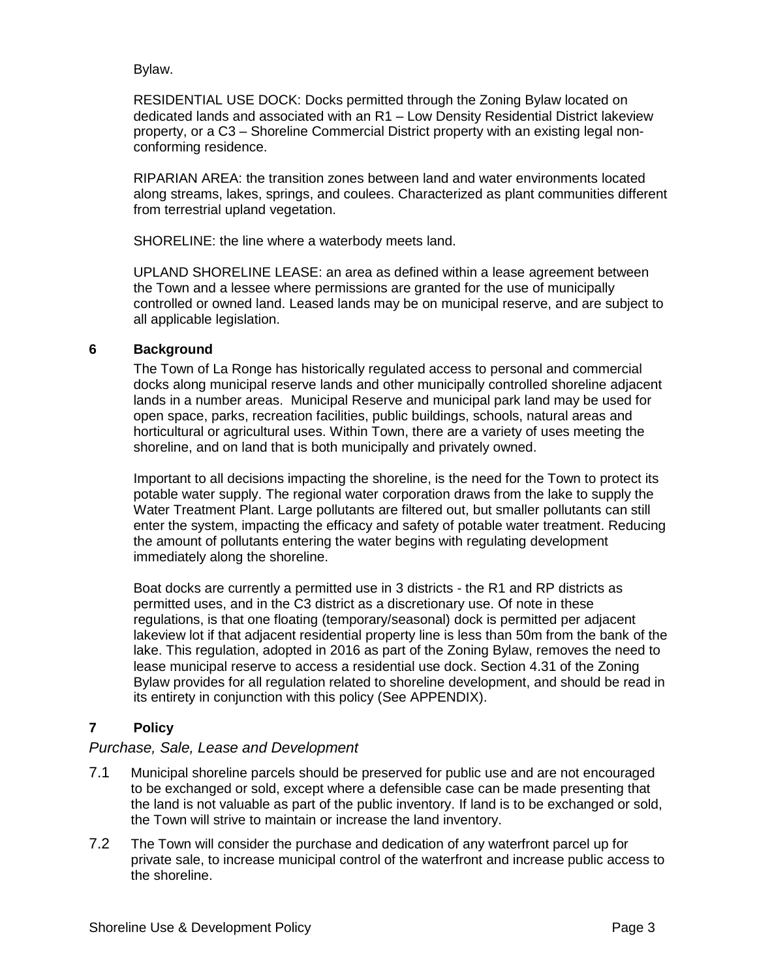Bylaw.

RESIDENTIAL USE DOCK: Docks permitted through the Zoning Bylaw located on dedicated lands and associated with an R1 – Low Density Residential District lakeview property, or a C3 – Shoreline Commercial District property with an existing legal nonconforming residence.

RIPARIAN AREA: the transition zones between land and water environments located along streams, lakes, springs, and coulees. Characterized as plant communities different from terrestrial upland vegetation.

SHORELINE: the line where a waterbody meets land.

UPLAND SHORELINE LEASE: an area as defined within a lease agreement between the Town and a lessee where permissions are granted for the use of municipally controlled or owned land. Leased lands may be on municipal reserve, and are subject to all applicable legislation.

#### <span id="page-2-0"></span>**6 Background**

The Town of La Ronge has historically regulated access to personal and commercial docks along municipal reserve lands and other municipally controlled shoreline adjacent lands in a number areas. Municipal Reserve and municipal park land may be used for open space, parks, recreation facilities, public buildings, schools, natural areas and horticultural or agricultural uses. Within Town, there are a variety of uses meeting the shoreline, and on land that is both municipally and privately owned.

Important to all decisions impacting the shoreline, is the need for the Town to protect its potable water supply. The regional water corporation draws from the lake to supply the Water Treatment Plant. Large pollutants are filtered out, but smaller pollutants can still enter the system, impacting the efficacy and safety of potable water treatment. Reducing the amount of pollutants entering the water begins with regulating development immediately along the shoreline.

Boat docks are currently a permitted use in 3 districts - the R1 and RP districts as permitted uses, and in the C3 district as a discretionary use. Of note in these regulations, is that one floating (temporary/seasonal) dock is permitted per adjacent lakeview lot if that adjacent residential property line is less than 50m from the bank of the lake. This regulation, adopted in 2016 as part of the Zoning Bylaw, removes the need to lease municipal reserve to access a residential use dock. Section 4.31 of the Zoning Bylaw provides for all regulation related to shoreline development, and should be read in its entirety in conjunction with this policy (See APPENDIX).

## **7 Policy**

### *Purchase, Sale, Lease and Development*

- 7.1 Municipal shoreline parcels should be preserved for public use and are not encouraged to be exchanged or sold, except where a defensible case can be made presenting that the land is not valuable as part of the public inventory. If land is to be exchanged or sold, the Town will strive to maintain or increase the land inventory.
- 7.2 The Town will consider the purchase and dedication of any waterfront parcel up for private sale, to increase municipal control of the waterfront and increase public access to the shoreline.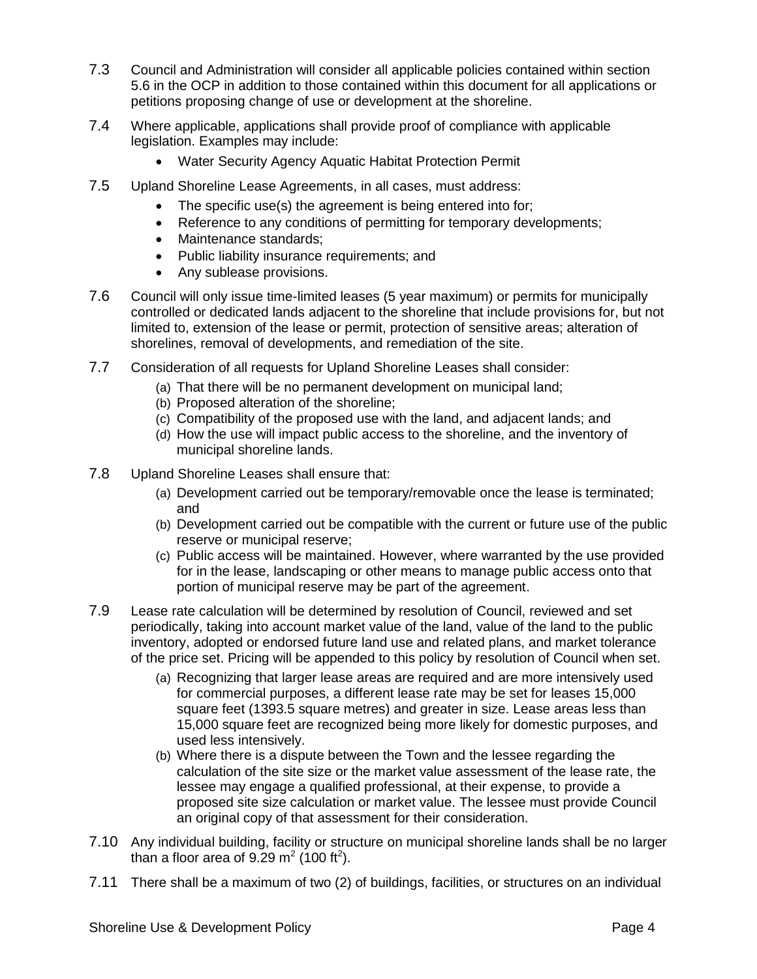- 7.3 Council and Administration will consider all applicable policies contained within section 5.6 in the OCP in addition to those contained within this document for all applications or petitions proposing change of use or development at the shoreline.
- 7.4 Where applicable, applications shall provide proof of compliance with applicable legislation. Examples may include:
	- Water Security Agency Aquatic Habitat Protection Permit
- 7.5 Upland Shoreline Lease Agreements, in all cases, must address:
	- The specific use(s) the agreement is being entered into for;
	- Reference to any conditions of permitting for temporary developments;
	- Maintenance standards:
	- Public liability insurance requirements; and
	- Any sublease provisions.
- 7.6 Council will only issue time-limited leases (5 year maximum) or permits for municipally controlled or dedicated lands adjacent to the shoreline that include provisions for, but not limited to, extension of the lease or permit, protection of sensitive areas; alteration of shorelines, removal of developments, and remediation of the site.
- 7.7 Consideration of all requests for Upland Shoreline Leases shall consider:
	- (a) That there will be no permanent development on municipal land;
	- (b) Proposed alteration of the shoreline;
	- (c) Compatibility of the proposed use with the land, and adjacent lands; and
	- (d) How the use will impact public access to the shoreline, and the inventory of municipal shoreline lands.
- 7.8 Upland Shoreline Leases shall ensure that:
	- (a) Development carried out be temporary/removable once the lease is terminated; and
	- (b) Development carried out be compatible with the current or future use of the public reserve or municipal reserve;
	- (c) Public access will be maintained. However, where warranted by the use provided for in the lease, landscaping or other means to manage public access onto that portion of municipal reserve may be part of the agreement.
- 7.9 Lease rate calculation will be determined by resolution of Council, reviewed and set periodically, taking into account market value of the land, value of the land to the public inventory, adopted or endorsed future land use and related plans, and market tolerance of the price set. Pricing will be appended to this policy by resolution of Council when set.
	- (a) Recognizing that larger lease areas are required and are more intensively used for commercial purposes, a different lease rate may be set for leases 15,000 square feet (1393.5 square metres) and greater in size. Lease areas less than 15,000 square feet are recognized being more likely for domestic purposes, and used less intensively.
	- (b) Where there is a dispute between the Town and the lessee regarding the calculation of the site size or the market value assessment of the lease rate, the lessee may engage a qualified professional, at their expense, to provide a proposed site size calculation or market value. The lessee must provide Council an original copy of that assessment for their consideration.
- 7.10 Any individual building, facility or structure on municipal shoreline lands shall be no larger than a floor area of  $9.29 \text{ m}^2$  (100 ft<sup>2</sup>).
- 7.11 There shall be a maximum of two (2) of buildings, facilities, or structures on an individual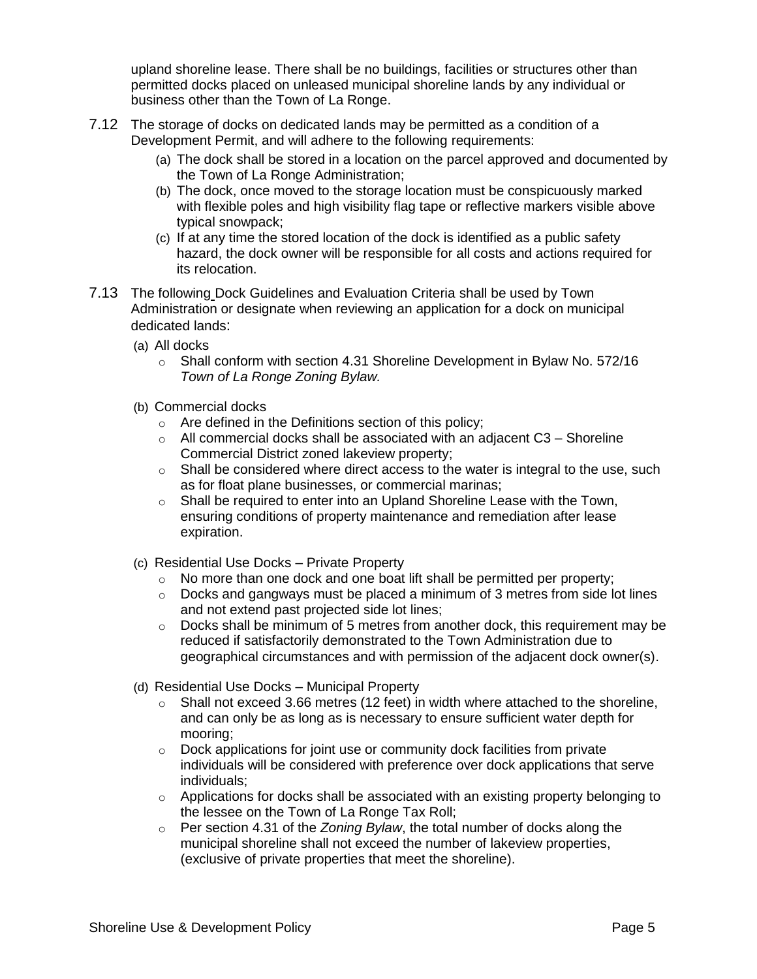upland shoreline lease. There shall be no buildings, facilities or structures other than permitted docks placed on unleased municipal shoreline lands by any individual or business other than the Town of La Ronge.

- 7.12 The storage of docks on dedicated lands may be permitted as a condition of a Development Permit, and will adhere to the following requirements:
	- (a) The dock shall be stored in a location on the parcel approved and documented by the Town of La Ronge Administration;
	- (b) The dock, once moved to the storage location must be conspicuously marked with flexible poles and high visibility flag tape or reflective markers visible above typical snowpack;
	- (c) If at any time the stored location of the dock is identified as a public safety hazard, the dock owner will be responsible for all costs and actions required for its relocation.
- 7.13 The following Dock Guidelines and Evaluation Criteria shall be used by Town Administration or designate when reviewing an application for a dock on municipal dedicated lands:
	- (a) All docks
		- o Shall conform with section 4.31 Shoreline Development in Bylaw No. 572/16 *Town of La Ronge Zoning Bylaw.*
	- (b) Commercial docks
		- o Are defined in the Definitions section of this policy;
		- $\circ$  All commercial docks shall be associated with an adjacent C3 Shoreline Commercial District zoned lakeview property;
		- $\circ$  Shall be considered where direct access to the water is integral to the use, such as for float plane businesses, or commercial marinas;
		- $\circ$  Shall be required to enter into an Upland Shoreline Lease with the Town, ensuring conditions of property maintenance and remediation after lease expiration.
	- (c) Residential Use Docks Private Property
		- o No more than one dock and one boat lift shall be permitted per property;
		- $\circ$  Docks and gangways must be placed a minimum of 3 metres from side lot lines and not extend past projected side lot lines;
		- o Docks shall be minimum of 5 metres from another dock, this requirement may be reduced if satisfactorily demonstrated to the Town Administration due to geographical circumstances and with permission of the adjacent dock owner(s).
	- (d) Residential Use Docks Municipal Property
		- $\circ$  Shall not exceed 3.66 metres (12 feet) in width where attached to the shoreline, and can only be as long as is necessary to ensure sufficient water depth for mooring;
		- $\circ$  Dock applications for joint use or community dock facilities from private individuals will be considered with preference over dock applications that serve individuals;
		- $\circ$  Applications for docks shall be associated with an existing property belonging to the lessee on the Town of La Ronge Tax Roll;
		- o Per section 4.31 of the *Zoning Bylaw*, the total number of docks along the municipal shoreline shall not exceed the number of lakeview properties, (exclusive of private properties that meet the shoreline).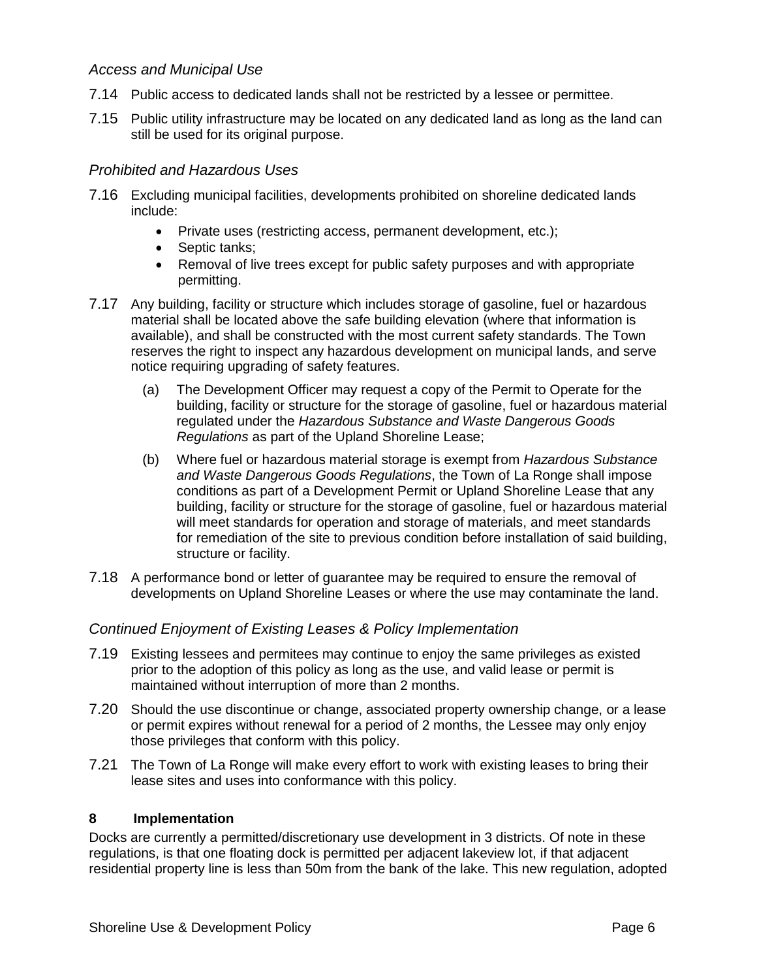### *Access and Municipal Use*

- 7.14 Public access to dedicated lands shall not be restricted by a lessee or permittee.
- 7.15 Public utility infrastructure may be located on any dedicated land as long as the land can still be used for its original purpose.

### *Prohibited and Hazardous Uses*

- 7.16 Excluding municipal facilities, developments prohibited on shoreline dedicated lands include:
	- Private uses (restricting access, permanent development, etc.);
	- Septic tanks:
	- Removal of live trees except for public safety purposes and with appropriate permitting.
- 7.17 Any building, facility or structure which includes storage of gasoline, fuel or hazardous material shall be located above the safe building elevation (where that information is available), and shall be constructed with the most current safety standards. The Town reserves the right to inspect any hazardous development on municipal lands, and serve notice requiring upgrading of safety features.
	- (a) The Development Officer may request a copy of the Permit to Operate for the building, facility or structure for the storage of gasoline, fuel or hazardous material regulated under the *Hazardous Substance and Waste Dangerous Goods Regulations* as part of the Upland Shoreline Lease;
	- (b) Where fuel or hazardous material storage is exempt from *Hazardous Substance and Waste Dangerous Goods Regulations*, the Town of La Ronge shall impose conditions as part of a Development Permit or Upland Shoreline Lease that any building, facility or structure for the storage of gasoline, fuel or hazardous material will meet standards for operation and storage of materials, and meet standards for remediation of the site to previous condition before installation of said building, structure or facility.
- 7.18 A performance bond or letter of guarantee may be required to ensure the removal of developments on Upland Shoreline Leases or where the use may contaminate the land.

### *Continued Enjoyment of Existing Leases & Policy Implementation*

- 7.19 Existing lessees and permitees may continue to enjoy the same privileges as existed prior to the adoption of this policy as long as the use, and valid lease or permit is maintained without interruption of more than 2 months.
- 7.20 Should the use discontinue or change, associated property ownership change, or a lease or permit expires without renewal for a period of 2 months, the Lessee may only enjoy those privileges that conform with this policy.
- 7.21 The Town of La Ronge will make every effort to work with existing leases to bring their lease sites and uses into conformance with this policy.

#### **8 Implementation**

Docks are currently a permitted/discretionary use development in 3 districts. Of note in these regulations, is that one floating dock is permitted per adjacent lakeview lot, if that adjacent residential property line is less than 50m from the bank of the lake. This new regulation, adopted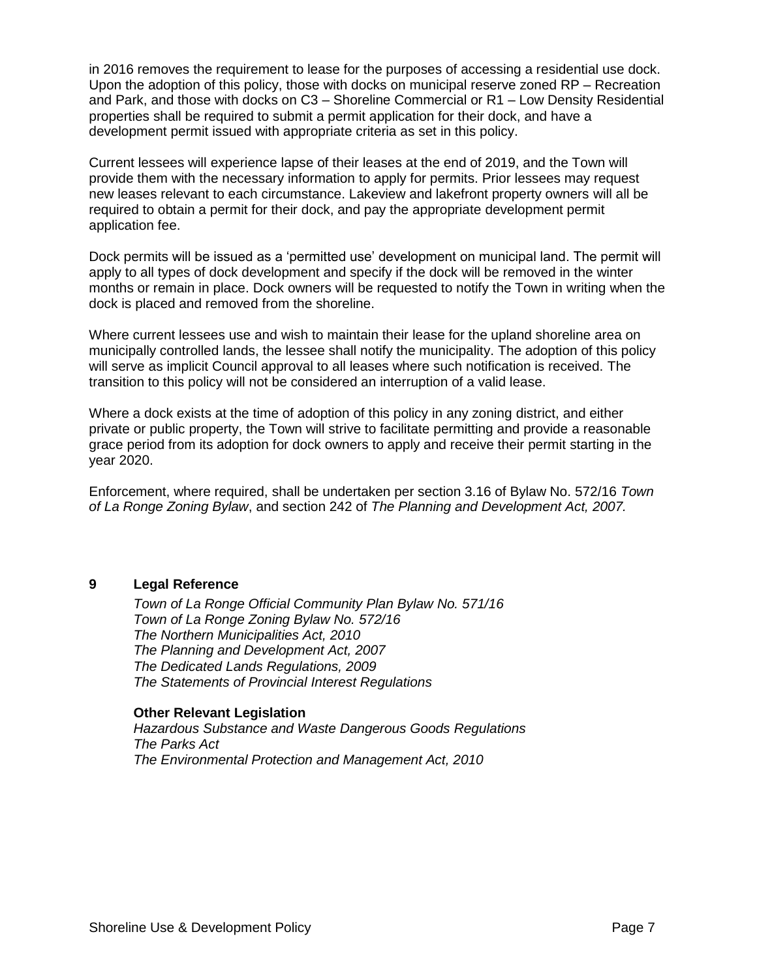in 2016 removes the requirement to lease for the purposes of accessing a residential use dock. Upon the adoption of this policy, those with docks on municipal reserve zoned RP – Recreation and Park, and those with docks on C3 – Shoreline Commercial or R1 – Low Density Residential properties shall be required to submit a permit application for their dock, and have a development permit issued with appropriate criteria as set in this policy.

Current lessees will experience lapse of their leases at the end of 2019, and the Town will provide them with the necessary information to apply for permits. Prior lessees may request new leases relevant to each circumstance. Lakeview and lakefront property owners will all be required to obtain a permit for their dock, and pay the appropriate development permit application fee.

Dock permits will be issued as a 'permitted use' development on municipal land. The permit will apply to all types of dock development and specify if the dock will be removed in the winter months or remain in place. Dock owners will be requested to notify the Town in writing when the dock is placed and removed from the shoreline.

Where current lessees use and wish to maintain their lease for the upland shoreline area on municipally controlled lands, the lessee shall notify the municipality. The adoption of this policy will serve as implicit Council approval to all leases where such notification is received. The transition to this policy will not be considered an interruption of a valid lease.

Where a dock exists at the time of adoption of this policy in any zoning district, and either private or public property, the Town will strive to facilitate permitting and provide a reasonable grace period from its adoption for dock owners to apply and receive their permit starting in the year 2020.

Enforcement, where required, shall be undertaken per section 3.16 of Bylaw No. 572/16 *Town of La Ronge Zoning Bylaw*, and section 242 of *The Planning and Development Act, 2007.*

#### **9 Legal Reference**

*Town of La Ronge Official Community Plan Bylaw No. 571/16 Town of La Ronge Zoning Bylaw No. 572/16 The Northern Municipalities Act, 2010 The Planning and Development Act, 2007 The Dedicated Lands Regulations, 2009 The Statements of Provincial Interest Regulations*

#### **Other Relevant Legislation**

*Hazardous Substance and Waste Dangerous Goods Regulations The Parks Act The Environmental Protection and Management Act, 2010*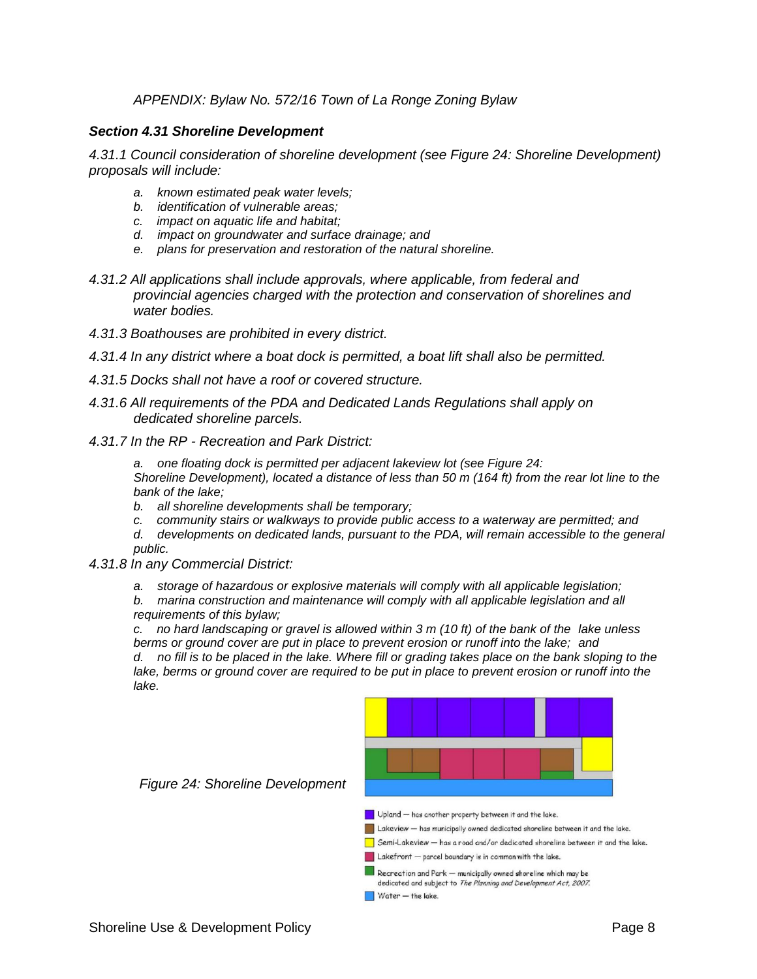#### *APPENDIX: Bylaw No. 572/16 Town of La Ronge Zoning Bylaw*

#### *Section 4.31 Shoreline Development*

*4.31.1 Council consideration of shoreline development (see Figure 24: Shoreline Development) proposals will include:* 

- *a. known estimated peak water levels;*
- *b. identification of vulnerable areas;*
- *c. impact on aquatic life and habitat;*
- *d. impact on groundwater and surface drainage; and*
- *e. plans for preservation and restoration of the natural shoreline.*
- *4.31.2 All applications shall include approvals, where applicable, from federal and provincial agencies charged with the protection and conservation of shorelines and water bodies.*
- *4.31.3 Boathouses are prohibited in every district.*
- *4.31.4 In any district where a boat dock is permitted, a boat lift shall also be permitted.*
- *4.31.5 Docks shall not have a roof or covered structure.*
- *4.31.6 All requirements of the PDA and Dedicated Lands Regulations shall apply on dedicated shoreline parcels.*
- *4.31.7 In the RP - Recreation and Park District:*
	- *a. one floating dock is permitted per adjacent lakeview lot (see Figure 24: Shoreline Development), located a distance of less than 50 m (164 ft) from the rear lot line to the bank of the lake;*
	- *b. all shoreline developments shall be temporary;*
	- *c. community stairs or walkways to provide public access to a waterway are permitted; and*
	- *d. developments on dedicated lands, pursuant to the PDA, will remain accessible to the general public.*
- *4.31.8 In any Commercial District:* 
	- *a. storage of hazardous or explosive materials will comply with all applicable legislation;*
	- *b. marina construction and maintenance will comply with all applicable legislation and all requirements of this bylaw;*

*c. no hard landscaping or gravel is allowed within 3 m (10 ft) of the bank of the lake unless berms or ground cover are put in place to prevent erosion or runoff into the lake; and d. no fill is to be placed in the lake. Where fill or grading takes place on the bank sloping to the lake, berms or ground cover are required to be put in place to prevent erosion or runoff into the lake.*





 $\Box$  Upland  $-$  has another property between it and the lake.

Lakeview - has municipally owned dedicated shoreline between it and the lake.

 $\Box$  Semi-Lakeview  $-$  has a road and/or dedicated shoreline between it and the lake.

Lakefront - parcel boundary is in common with the lake.

- $\blacksquare$  Recreation and Park  $-$  municipally owned shoreline which may be dedicated and subject to The Planning and Development Act, 2007.
- $\blacksquare$  Water  $-$  the lake.